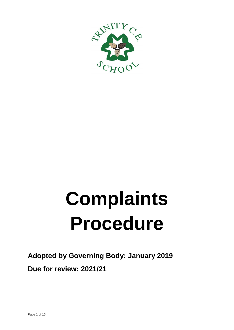

# **Complaints Procedure**

## **Adopted by Governing Body: January 2019 Due for review: 2021/21**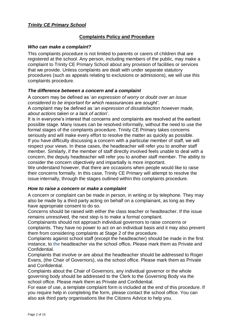#### *Trinity CE Primary School*

#### **Complaints Policy and Procedure**

#### *Who can make a complaint?*

This complaints procedure is not limited to parents or carers of children that are registered at the school. Any person, including members of the public, may make a complaint to Trinity CE Primary School about any provision of facilities or services that we provide. Unless complaints are dealt with under separate statutory procedures (such as appeals relating to exclusions or admissions), we will use this complaints procedure.

#### *The difference between a concern and a complaint*

A concern may be defined as '*an expression of worry or doubt over an issue considered to be important for which reassurances are sought'*. A complaint may be defined as '*an expression of dissatisfaction however made, about actions taken or a lack of action*'.

It is in everyone's interest that concerns and complaints are resolved at the earliest possible stage. Many issues can be resolved informally, without the need to use the formal stages of the complaints procedure. Trinity CE Primary takes concerns seriously and will make every effort to resolve the matter as quickly as possible. If you have difficulty discussing a concern with a particular member of staff, we will respect your views. In these cases, the headteacher will refer you to another staff member. Similarly, if the member of staff directly involved feels unable to deal with a concern, the deputy headteacher will refer you to another staff member. The ability to consider the concern objectively and impartially is more important.

We understand however, that there are occasions when people would like to raise their concerns formally. In this case, Trinity CE Primary will attempt to resolve the issue internally, through the stages outlined within this complaints procedure.

#### *How to raise a concern or make a complaint*

A concern or complaint can be made in person, in writing or by telephone. They may also be made by a third party acting on behalf on a complainant, as long as they have appropriate consent to do so.

Concerns should be raised with either the class teacher or headteacher. If the issue remains unresolved, the next step is to make a formal complaint.

Complainants should not approach individual governors to raise concerns or complaints. They have no power to act on an individual basis and it may also prevent them from considering complaints at Stage 2 of the procedure.

Complaints against school staff (except the headteacher) should be made in the first instance, to the headteacher via the school office*.* Please mark them as Private and Confidential.

Complaints that involve or are about the headteacher should be addressed to Roger Evans, (the Chair of Governors), via the school office. Please mark them as Private and Confidential.

Complaints about the Chair of Governors, any individual governor or the whole governing body should be addressed to the Clerk to the Governing Body via the school office. Please mark them as Private and Confidential.

For ease of use, a template complaint form is included at the end of this procedure. If you require help in completing the form, please contact the school office. You can also ask third party organisations like the Citizens Advice to help you.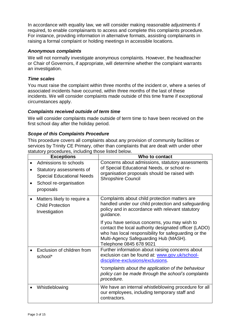In accordance with equality law, we will consider making reasonable adjustments if required, to enable complainants to access and complete this complaints procedure. For instance, providing information in alternative formats, assisting complainants in raising a formal complaint or holding meetings in accessible locations.

#### *Anonymous complaints*

We will not normally investigate anonymous complaints. However, the headteacher or Chair of Governors, if appropriate, will determine whether the complaint warrants an investigation.

#### *Time scales*

You must raise the complaint within three months of the incident or, where a series of associated incidents have occurred, within three months of the last of these incidents. We will consider complaints made outside of this time frame if exceptional circumstances apply.

#### *Complaints received outside of term time*

We will consider complaints made outside of term time to have been received on the first school day after the holiday period.

#### *Scope of this Complaints Procedure*

This procedure covers all complaints about any provision of community facilities or services by Trinity CE Primary, other than complaints that are dealt with under other statutory procedures, including those listed below.

| <b>Exceptions</b>                                                                                                            | Who to contact                                                                                                                                                                                                         |
|------------------------------------------------------------------------------------------------------------------------------|------------------------------------------------------------------------------------------------------------------------------------------------------------------------------------------------------------------------|
| Admissions to schools<br>Statutory assessments of<br><b>Special Educational Needs</b><br>School re-organisation<br>proposals | Concerns about admissions, statutory assessments<br>of Special Educational Needs, or school re-<br>organisation proposals should be raised with<br><b>Shropshire Council</b>                                           |
| Matters likely to require a<br><b>Child Protection</b><br>Investigation                                                      | Complaints about child protection matters are<br>handled under our child protection and safeguarding<br>policy and in accordance with relevant statutory<br>guidance.<br>If you have serious concerns, you may wish to |
|                                                                                                                              | contact the local authority designated officer (LADO)<br>who has local responsibility for safeguarding or the<br>Multi-Agency Safeguarding Hub (MASH).<br>Telephone 0845 678 9021                                      |
| Exclusion of children from<br>school*                                                                                        | Further information about raising concerns about<br>exclusion can be found at: www.gov.uk/school-<br>discipline-exclusions/exclusions.                                                                                 |
|                                                                                                                              | *complaints about the application of the behaviour<br>policy can be made through the school's complaints<br>procedure.                                                                                                 |
| Whistleblowing                                                                                                               | We have an internal whistleblowing procedure for all<br>our employees, including temporary staff and<br>contractors.                                                                                                   |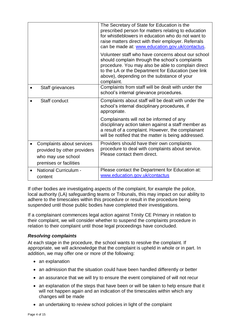|                                                                                                          | The Secretary of State for Education is the<br>prescribed person for matters relating to education<br>for whistleblowers in education who do not want to<br>raise matters direct with their employer. Referrals<br>can be made at: www.education.gov.uk/contactus.             |
|----------------------------------------------------------------------------------------------------------|--------------------------------------------------------------------------------------------------------------------------------------------------------------------------------------------------------------------------------------------------------------------------------|
|                                                                                                          | Volunteer staff who have concerns about our school<br>should complain through the school's complaints<br>procedure. You may also be able to complain direct<br>to the LA or the Department for Education (see link<br>above), depending on the substance of your<br>complaint. |
| Staff grievances                                                                                         | Complaints from staff will be dealt with under the<br>school's internal grievance procedures.                                                                                                                                                                                  |
| Staff conduct                                                                                            | Complaints about staff will be dealt with under the<br>school's internal disciplinary procedures, if<br>appropriate.                                                                                                                                                           |
|                                                                                                          | Complainants will not be informed of any<br>disciplinary action taken against a staff member as<br>a result of a complaint. However, the complainant<br>will be notified that the matter is being addressed.                                                                   |
| Complaints about services<br>provided by other providers<br>who may use school<br>premises or facilities | Providers should have their own complaints<br>procedure to deal with complaints about service.<br>Please contact them direct.                                                                                                                                                  |
| <b>National Curriculum -</b><br>content                                                                  | Please contact the Department for Education at:<br>www.education.gov.uk/contactus                                                                                                                                                                                              |

If other bodies are investigating aspects of the complaint, for example the police, local authority (LA) safeguarding teams or Tribunals, this may impact on our ability to adhere to the timescales within this procedure or result in the procedure being suspended until those public bodies have completed their investigations.

If a complainant commences legal action against Trinity CE Primary in relation to their complaint, we will consider whether to suspend the complaints procedure in relation to their complaint until those legal proceedings have concluded.

#### *Resolving complaints*

At each stage in the procedure, the school wants to resolve the complaint. If appropriate, we will acknowledge that the complaint is upheld in whole or in part. In addition, we may offer one or more of the following:

- an explanation
- an admission that the situation could have been handled differently or better
- an assurance that we will try to ensure the event complained of will not recur
- an explanation of the steps that have been or will be taken to help ensure that it will not happen again and an indication of the timescales within which any changes will be made
- an undertaking to review school policies in light of the complaint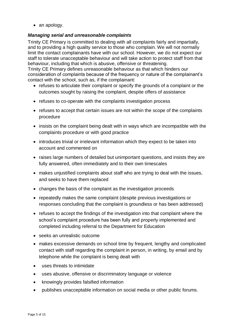• an apology.

#### *Managing serial and unreasonable complaints*

Trinity CE Primary is committed to dealing with all complaints fairly and impartially, and to providing a high quality service to those who complain. We will not normally limit the contact complainants have with our school. However, we do not expect our staff to tolerate unacceptable behaviour and will take action to protect staff from that behaviour, including that which is abusive, offensive or threatening.

Trinity CE Primary defines unreasonable behaviour as that which hinders our consideration of complaints because of the frequency or nature of the complainant's contact with the school, such as, if the complainant:

- refuses to articulate their complaint or specify the grounds of a complaint or the outcomes sought by raising the complaint, despite offers of assistance
- refuses to co-operate with the complaints investigation process
- refuses to accept that certain issues are not within the scope of the complaints procedure
- insists on the complaint being dealt with in ways which are incompatible with the complaints procedure or with good practice
- introduces trivial or irrelevant information which they expect to be taken into account and commented on
- raises large numbers of detailed but unimportant questions, and insists they are fully answered, often immediately and to their own timescales
- makes unjustified complaints about staff who are trying to deal with the issues, and seeks to have them replaced
- changes the basis of the complaint as the investigation proceeds
- repeatedly makes the same complaint (despite previous investigations or responses concluding that the complaint is groundless or has been addressed)
- refuses to accept the findings of the investigation into that complaint where the school's complaint procedure has been fully and properly implemented and completed including referral to the Department for Education
- seeks an unrealistic outcome
- makes excessive demands on school time by frequent, lengthy and complicated contact with staff regarding the complaint in person, in writing, by email and by telephone while the complaint is being dealt with
- uses threats to intimidate
- uses abusive, offensive or discriminatory language or violence
- knowingly provides falsified information
- publishes unacceptable information on social media or other public forums.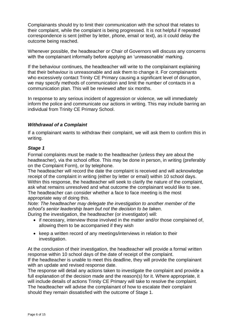Complainants should try to limit their communication with the school that relates to their complaint, while the complaint is being progressed. It is not helpful if repeated correspondence is sent (either by letter, phone, email or text), as it could delay the outcome being reached.

Whenever possible, the headteacher or Chair of Governors will discuss any concerns with the complainant informally before applying an 'unreasonable' marking.

If the behaviour continues, the headteacher will write to the complainant explaining that their behaviour is unreasonable and ask them to change it. For complainants who excessively contact Trinity CE Primary causing a significant level of disruption, we may specify methods of communication and limit the number of contacts in a communication plan. This will be reviewed after six months.

In response to any serious incident of aggression or violence, we will immediately inform the police and communicate our actions in writing. This may include barring an individual from Trinity CE Primary School.

#### *Withdrawal of a Complaint*

If a complainant wants to withdraw their complaint, we will ask them to confirm this in writing.

#### *Stage 1*

Formal complaints must be made to the headteacher (unless they are about the headteacher), via the school office. This may be done in person, in writing (preferably on the Complaint Form), or by telephone.

The headteacher will record the date the complaint is received and will acknowledge receipt of the complaint in writing (either by letter or email) within 10 school days. Within this response, the headteacher will seek to clarify the nature of the complaint, ask what remains unresolved and what outcome the complainant would like to see. The headteacher can consider whether a face to face meeting is the most appropriate way of doing this.

*Note: The headteacher may delegate the investigation to another member of the school's senior leadership team but not the decision to be taken.*

During the investigation, the headteacher (or investigator) will:

- if necessary, interview those involved in the matter and/or those complained of, allowing them to be accompanied if they wish
- keep a written record of any meetings/interviews in relation to their investigation.

At the conclusion of their investigation, the headteacher will provide a formal written response within 10 school days of the date of receipt of the complaint. If the headteacher is unable to meet this deadline, they will provide the complainant with an update and revised response date.

The response will detail any actions taken to investigate the complaint and provide a full explanation of the decision made and the reason(s) for it. Where appropriate, it will include details of actions Trinity CE Primary will take to resolve the complaint. The headteacher will advise the complainant of how to escalate their complaint should they remain dissatisfied with the outcome of Stage 1.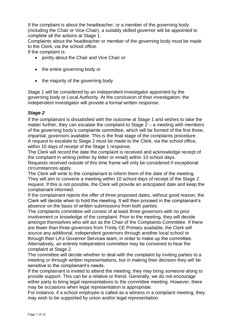If the complaint is about the headteacher, or a member of the governing body (including the Chair or Vice-Chair), a suitably skilled governor will be appointed to complete all the actions at Stage 1.

Complaints about the headteacher or member of the governing body must be made to the Clerk, via the school office.

If the complaint is:

- jointly about the Chair and Vice Chair or
- the entire governing body or
- the majority of the governing body

Stage 1 will be considered by an independent investigator appointed by the governing body or Local Authority. At the conclusion of their investigation, the independent investigator will provide a formal written response.

#### *Stage 2*

If the complainant is dissatisfied with the outcome at Stage 1 and wishes to take the matter further, they can escalate the complaint to Stage  $2 - a$  meeting with members of the governing body's complaints committee, which will be formed of the first three, impartial, governors available. This is the final stage of the complaints procedure. A request to escalate to Stage 2 must be made to the Clerk, via the school office, within 10 days of receipt of the Stage 1 response.

The Clerk will record the date the complaint is received and acknowledge receipt of the complaint in writing (either by letter or email) within 10 school days.

Requests received outside of this time frame will only be considered if exceptional circumstances apply.

The Clerk will write to the complainant to inform them of the date of the meeting. They will aim to convene a meeting within 10 school days of receipt of the Stage 2 request. If this is not possible, the Clerk will provide an anticipated date and keep the complainant informed.

If the complainant rejects the offer of three proposed dates, without good reason, the Clerk will decide when to hold the meeting. It will then proceed in the complainant's absence on the basis of written submissions from both parties.

The complaints committee will consist of at least three governors with no prior involvement or knowledge of the complaint. Prior to the meeting, they will decide amongst themselves who will act as the Chair of the Complaints Committee. If there are fewer than three governors from Trinity CE Primary available, the Clerk will source any additional, independent governors through another local school or through their LA's Governor Services team, in order to make up the committee. Alternatively, an entirely independent committee may be convened to hear the complaint at Stage 2.

The committee will decide whether to deal with the complaint by inviting parties to a meeting or through written representations, but in making their decision they will be sensitive to the complainant's needs.

If the complainant is invited to attend the meeting, they may bring someone along to provide support. This can be a relative or friend. Generally, we do not encourage either party to bring legal representatives to the committee meeting. However, there may be occasions when legal representation is appropriate.

For instance, if a school employee is called as a witness in a complaint meeting, they may wish to be supported by union and/or legal representation.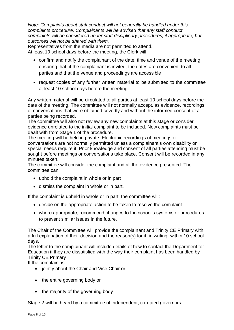*Note: Complaints about staff conduct will not generally be handled under this complaints procedure. Complainants will be advised that any staff conduct complaints will be considered under staff disciplinary procedures, if appropriate, but outcomes will not be shared with them.* 

Representatives from the media are not permitted to attend.

At least 10 school days before the meeting, the Clerk will:

- confirm and notify the complainant of the date, time and venue of the meeting, ensuring that, if the complainant is invited, the dates are convenient to all parties and that the venue and proceedings are accessible
- request copies of any further written material to be submitted to the committee at least 10 school days before the meeting.

Any written material will be circulated to all parties at least 10 school days before the date of the meeting. The committee will not normally accept, as evidence, recordings of conversations that were obtained covertly and without the informed consent of all parties being recorded.

The committee will also not review any new complaints at this stage or consider evidence unrelated to the initial complaint to be included. New complaints must be dealt with from Stage 1 of the procedure.

The meeting will be held in private. Electronic recordings of meetings or conversations are not normally permitted unless a complainant's own disability or special needs require it. Prior knowledge and consent of all parties attending must be sought before meetings or conversations take place. Consent will be recorded in any minutes taken.

The committee will consider the complaint and all the evidence presented. The committee can:

- uphold the complaint in whole or in part
- dismiss the complaint in whole or in part.

If the complaint is upheld in whole or in part, the committee will:

- decide on the appropriate action to be taken to resolve the complaint
- where appropriate, recommend changes to the school's systems or procedures to prevent similar issues in the future.

The Chair of the Committee will provide the complainant and Trinity CE Primary with a full explanation of their decision and the reason(s) for it, in writing, within 10 school days.

The letter to the complainant will include details of how to contact the Department for Education if they are dissatisfied with the way their complaint has been handled by Trinity CE Primary

If the complaint is:

- jointly about the Chair and Vice Chair or
- the entire governing body or
- the majority of the governing body

Stage 2 will be heard by a committee of independent, co-opted governors.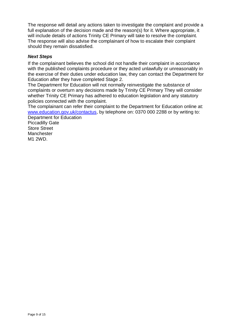The response will detail any actions taken to investigate the complaint and provide a full explanation of the decision made and the reason(s) for it. Where appropriate, it will include details of actions Trinity CE Primary will take to resolve the complaint. The response will also advise the complainant of how to escalate their complaint should they remain dissatisfied.

#### *Next Steps*

If the complainant believes the school did not handle their complaint in accordance with the published complaints procedure or they acted unlawfully or unreasonably in the exercise of their duties under education law, they can contact the Department for Education after they have completed Stage 2.

The Department for Education will not normally reinvestigate the substance of complaints or overturn any decisions made by Trinity CE Primary They will consider whether Trinity CE Primary has adhered to education legislation and any statutory policies connected with the complaint.

The complainant can refer their complaint to the Department for Education online at: [www.education.gov.uk/contactus,](http://www.education.gov.uk/contactus) by telephone on: 0370 000 2288 or by writing to:

Department for Education Piccadilly Gate Store Street **Manchester** M1 2WD.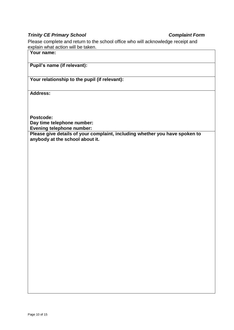#### *Trinity CE Primary School Complaint Form*

Please complete and return to the school office who will acknowledge receipt and explain what action will be taken.

**Your name:**

#### **Pupil's name (if relevant):**

#### **Your relationship to the pupil (if relevant):**

**Address:** 

**Postcode:**

**Day time telephone number:**

**Evening telephone number:**

**Please give details of your complaint, including whether you have spoken to anybody at the school about it.**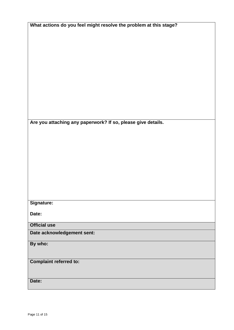| What actions do you feel might resolve the problem at this stage? |
|-------------------------------------------------------------------|
|-------------------------------------------------------------------|

**Are you attaching any paperwork? If so, please give details.**

**Signature:**

**Date:**

**Official use**

**Date acknowledgement sent:**

**By who:** 

**Complaint referred to:**

**Date:**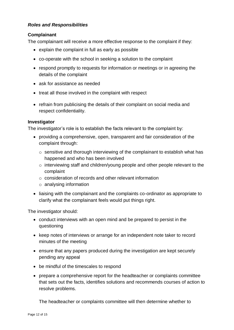#### *Roles and Responsibilities*

#### **Complainant**

The complainant will receive a more effective response to the complaint if they:

- explain the complaint in full as early as possible
- co-operate with the school in seeking a solution to the complaint
- respond promptly to requests for information or meetings or in agreeing the details of the complaint
- ask for assistance as needed
- treat all those involved in the complaint with respect
- refrain from publicising the details of their complaint on social media and respect confidentiality.

#### **Investigator**

The investigator's role is to establish the facts relevant to the complaint by:

- providing a comprehensive, open, transparent and fair consideration of the complaint through:
	- o sensitive and thorough interviewing of the complainant to establish what has happened and who has been involved
	- o interviewing staff and children/young people and other people relevant to the complaint
	- o consideration of records and other relevant information
	- o analysing information
- liaising with the complainant and the complaints co-ordinator as appropriate to clarify what the complainant feels would put things right.

The investigator should:

- conduct interviews with an open mind and be prepared to persist in the questioning
- keep notes of interviews or arrange for an independent note taker to record minutes of the meeting
- ensure that any papers produced during the investigation are kept securely pending any appeal
- be mindful of the timescales to respond
- prepare a comprehensive report for the headteacher or complaints committee that sets out the facts, identifies solutions and recommends courses of action to resolve problems.

The headteacher or complaints committee will then determine whether to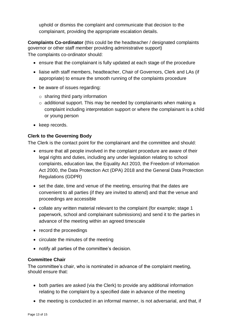uphold or dismiss the complaint and communicate that decision to the complainant, providing the appropriate escalation details.

**Complaints Co-ordinator** (this could be the headteacher / designated complaints governor or other staff member providing administrative support) The complaints co-ordinator should:

- ensure that the complainant is fully updated at each stage of the procedure
- liaise with staff members, headteacher, Chair of Governors, Clerk and LAs (if appropriate) to ensure the smooth running of the complaints procedure
- be aware of issues regarding:
	- $\circ$  sharing third party information
	- $\circ$  additional support. This may be needed by complainants when making a complaint including interpretation support or where the complainant is a child or young person
- keep records.

### **Clerk to the Governing Body**

The Clerk is the contact point for the complainant and the committee and should:

- ensure that all people involved in the complaint procedure are aware of their legal rights and duties, including any under legislation relating to school complaints, education law, the Equality Act 2010, the Freedom of Information Act 2000, the Data Protection Act (DPA) 2018 and the General Data Protection Regulations (GDPR)
- set the date, time and venue of the meeting, ensuring that the dates are convenient to all parties (if they are invited to attend) and that the venue and proceedings are accessible
- collate any written material relevant to the complaint (for example; stage 1 paperwork, school and complainant submissions) and send it to the parties in advance of the meeting within an agreed timescale
- record the proceedings
- circulate the minutes of the meeting
- notify all parties of the committee's decision.

#### **Committee Chair**

The committee's chair, who is nominated in advance of the complaint meeting, should ensure that:

- both parties are asked (via the Clerk) to provide any additional information relating to the complaint by a specified date in advance of the meeting
- the meeting is conducted in an informal manner, is not adversarial, and that, if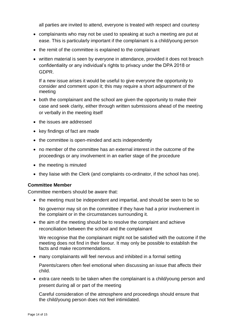all parties are invited to attend, everyone is treated with respect and courtesy

- complainants who may not be used to speaking at such a meeting are put at ease. This is particularly important if the complainant is a child/young person
- the remit of the committee is explained to the complainant
- written material is seen by everyone in attendance, provided it does not breach confidentiality or any individual's rights to privacy under the DPA 2018 or GDPR.

If a new issue arises it would be useful to give everyone the opportunity to consider and comment upon it; this may require a short adjournment of the meeting

- both the complainant and the school are given the opportunity to make their case and seek clarity, either through written submissions ahead of the meeting or verbally in the meeting itself
- the issues are addressed
- key findings of fact are made
- the committee is open-minded and acts independently
- no member of the committee has an external interest in the outcome of the proceedings or any involvement in an earlier stage of the procedure
- the meeting is minuted
- they liaise with the Clerk (and complaints co-ordinator, if the school has one).

#### **Committee Member**

Committee members should be aware that:

• the meeting must be independent and impartial, and should be seen to be so

No governor may sit on the committee if they have had a prior involvement in the complaint or in the circumstances surrounding it.

• the aim of the meeting should be to resolve the complaint and achieve reconciliation between the school and the complainant

We recognise that the complainant might not be satisfied with the outcome if the meeting does not find in their favour. It may only be possible to establish the facts and make recommendations.

many complainants will feel nervous and inhibited in a formal setting

Parents/carers often feel emotional when discussing an issue that affects their child.

 extra care needs to be taken when the complainant is a child/young person and present during all or part of the meeting

Careful consideration of the atmosphere and proceedings should ensure that the child/young person does not feel intimidated.